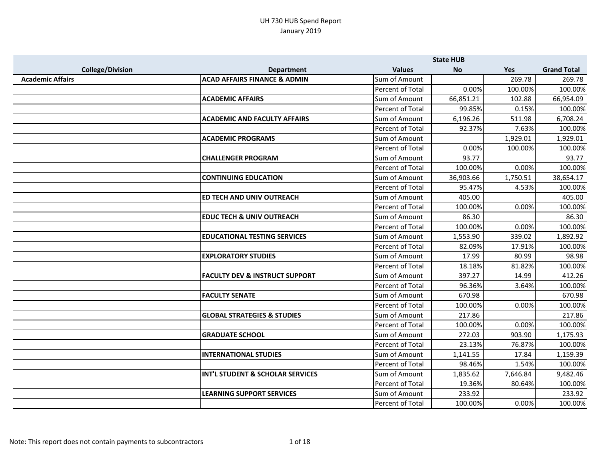|                         |                                             |                         | <b>State HUB</b> |          |                    |
|-------------------------|---------------------------------------------|-------------------------|------------------|----------|--------------------|
| <b>College/Division</b> | <b>Department</b>                           | <b>Values</b>           | <b>No</b>        | Yes      | <b>Grand Total</b> |
| <b>Academic Affairs</b> | <b>ACAD AFFAIRS FINANCE &amp; ADMIN</b>     | Sum of Amount           |                  | 269.78   | 269.78             |
|                         |                                             | Percent of Total        | 0.00%            | 100.00%  | 100.00%            |
|                         | <b>ACADEMIC AFFAIRS</b>                     | Sum of Amount           | 66,851.21        | 102.88   | 66,954.09          |
|                         |                                             | Percent of Total        | 99.85%           | 0.15%    | 100.00%            |
|                         | <b>ACADEMIC AND FACULTY AFFAIRS</b>         | Sum of Amount           | 6,196.26         | 511.98   | 6,708.24           |
|                         |                                             | Percent of Total        | 92.37%           | 7.63%    | 100.00%            |
|                         | <b>ACADEMIC PROGRAMS</b>                    | Sum of Amount           |                  | 1,929.01 | 1,929.01           |
|                         |                                             | <b>Percent of Total</b> | 0.00%            | 100.00%  | 100.00%            |
|                         | <b>CHALLENGER PROGRAM</b>                   | Sum of Amount           | 93.77            |          | 93.77              |
|                         |                                             | <b>Percent of Total</b> | 100.00%          | 0.00%    | 100.00%            |
|                         | <b>CONTINUING EDUCATION</b>                 | Sum of Amount           | 36,903.66        | 1,750.51 | 38,654.17          |
|                         |                                             | Percent of Total        | 95.47%           | 4.53%    | 100.00%            |
|                         | <b>ED TECH AND UNIV OUTREACH</b>            | Sum of Amount           | 405.00           |          | 405.00             |
|                         |                                             | Percent of Total        | 100.00%          | 0.00%    | 100.00%            |
|                         | <b>EDUC TECH &amp; UNIV OUTREACH</b>        | Sum of Amount           | 86.30            |          | 86.30              |
|                         |                                             | Percent of Total        | 100.00%          | 0.00%    | 100.00%            |
|                         | <b>EDUCATIONAL TESTING SERVICES</b>         | Sum of Amount           | 1,553.90         | 339.02   | 1,892.92           |
|                         |                                             | Percent of Total        | 82.09%           | 17.91%   | 100.00%            |
|                         | <b>EXPLORATORY STUDIES</b>                  | Sum of Amount           | 17.99            | 80.99    | 98.98              |
|                         |                                             | Percent of Total        | 18.18%           | 81.82%   | 100.00%            |
|                         | <b>FACULTY DEV &amp; INSTRUCT SUPPORT</b>   | Sum of Amount           | 397.27           | 14.99    | 412.26             |
|                         |                                             | Percent of Total        | 96.36%           | 3.64%    | 100.00%            |
|                         | <b>FACULTY SENATE</b>                       | Sum of Amount           | 670.98           |          | 670.98             |
|                         |                                             | Percent of Total        | 100.00%          | 0.00%    | 100.00%            |
|                         | <b>GLOBAL STRATEGIES &amp; STUDIES</b>      | Sum of Amount           | 217.86           |          | 217.86             |
|                         |                                             | Percent of Total        | 100.00%          | 0.00%    | 100.00%            |
|                         | <b>GRADUATE SCHOOL</b>                      | Sum of Amount           | 272.03           | 903.90   | 1,175.93           |
|                         |                                             | Percent of Total        | 23.13%           | 76.87%   | 100.00%            |
|                         | <b>INTERNATIONAL STUDIES</b>                | Sum of Amount           | 1,141.55         | 17.84    | 1,159.39           |
|                         |                                             | <b>Percent of Total</b> | 98.46%           | 1.54%    | 100.00%            |
|                         | <b>INT'L STUDENT &amp; SCHOLAR SERVICES</b> | Sum of Amount           | 1,835.62         | 7,646.84 | 9,482.46           |
|                         |                                             | Percent of Total        | 19.36%           | 80.64%   | 100.00%            |
|                         | <b>LEARNING SUPPORT SERVICES</b>            | Sum of Amount           | 233.92           |          | 233.92             |
|                         |                                             | Percent of Total        | 100.00%          | 0.00%    | 100.00%            |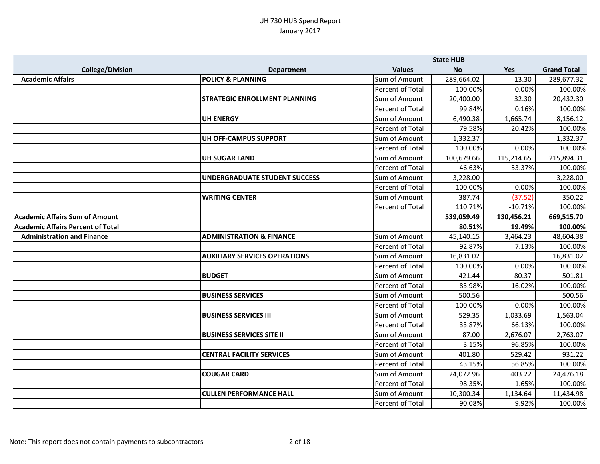|                                          |                                      |                         | <b>State HUB</b> |            |                    |
|------------------------------------------|--------------------------------------|-------------------------|------------------|------------|--------------------|
| <b>College/Division</b>                  | <b>Department</b>                    | <b>Values</b>           | <b>No</b>        | Yes        | <b>Grand Total</b> |
| <b>Academic Affairs</b>                  | <b>POLICY &amp; PLANNING</b>         | Sum of Amount           | 289,664.02       | 13.30      | 289,677.32         |
|                                          |                                      | Percent of Total        | 100.00%          | 0.00%      | 100.00%            |
|                                          | <b>STRATEGIC ENROLLMENT PLANNING</b> | Sum of Amount           | 20,400.00        | 32.30      | 20,432.30          |
|                                          |                                      | <b>Percent of Total</b> | 99.84%           | 0.16%      | 100.00%            |
|                                          | <b>UH ENERGY</b>                     | Sum of Amount           | 6,490.38         | 1,665.74   | 8,156.12           |
|                                          |                                      | Percent of Total        | 79.58%           | 20.42%     | 100.00%            |
|                                          | UH OFF-CAMPUS SUPPORT                | Sum of Amount           | 1,332.37         |            | 1,332.37           |
|                                          |                                      | Percent of Total        | 100.00%          | 0.00%      | 100.00%            |
|                                          | <b>UH SUGAR LAND</b>                 | Sum of Amount           | 100,679.66       | 115,214.65 | 215,894.31         |
|                                          |                                      | Percent of Total        | 46.63%           | 53.37%     | 100.00%            |
|                                          | <b>UNDERGRADUATE STUDENT SUCCESS</b> | Sum of Amount           | 3,228.00         |            | 3,228.00           |
|                                          |                                      | Percent of Total        | 100.00%          | 0.00%      | 100.00%            |
|                                          | <b>WRITING CENTER</b>                | Sum of Amount           | 387.74           | (37.52)    | 350.22             |
|                                          |                                      | Percent of Total        | 110.71%          | $-10.71%$  | 100.00%            |
| <b>Academic Affairs Sum of Amount</b>    |                                      |                         | 539,059.49       | 130,456.21 | 669,515.70         |
| <b>Academic Affairs Percent of Total</b> |                                      |                         | 80.51%           | 19.49%     | 100.00%            |
| <b>Administration and Finance</b>        | <b>ADMINISTRATION &amp; FINANCE</b>  | Sum of Amount           | 45,140.15        | 3,464.23   | 48,604.38          |
|                                          |                                      | Percent of Total        | 92.87%           | 7.13%      | 100.00%            |
|                                          | <b>AUXILIARY SERVICES OPERATIONS</b> | Sum of Amount           | 16,831.02        |            | 16,831.02          |
|                                          |                                      | Percent of Total        | 100.00%          | 0.00%      | 100.00%            |
|                                          | <b>BUDGET</b>                        | Sum of Amount           | 421.44           | 80.37      | 501.81             |
|                                          |                                      | Percent of Total        | 83.98%           | 16.02%     | 100.00%            |
|                                          | <b>BUSINESS SERVICES</b>             | Sum of Amount           | 500.56           |            | 500.56             |
|                                          |                                      | Percent of Total        | 100.00%          | 0.00%      | 100.00%            |
|                                          | <b>BUSINESS SERVICES III</b>         | Sum of Amount           | 529.35           | 1,033.69   | 1,563.04           |
|                                          |                                      | Percent of Total        | 33.87%           | 66.13%     | 100.00%            |
|                                          | <b>BUSINESS SERVICES SITE II</b>     | Sum of Amount           | 87.00            | 2,676.07   | 2,763.07           |
|                                          |                                      | <b>Percent of Total</b> | 3.15%            | 96.85%     | 100.00%            |
|                                          | <b>CENTRAL FACILITY SERVICES</b>     | Sum of Amount           | 401.80           | 529.42     | 931.22             |
|                                          |                                      | Percent of Total        | 43.15%           | 56.85%     | 100.00%            |
|                                          | <b>COUGAR CARD</b>                   | Sum of Amount           | 24,072.96        | 403.22     | 24,476.18          |
|                                          |                                      | Percent of Total        | 98.35%           | 1.65%      | 100.00%            |
|                                          | <b>CULLEN PERFORMANCE HALL</b>       | Sum of Amount           | 10,300.34        | 1,134.64   | 11,434.98          |
|                                          |                                      | Percent of Total        | 90.08%           | 9.92%      | 100.00%            |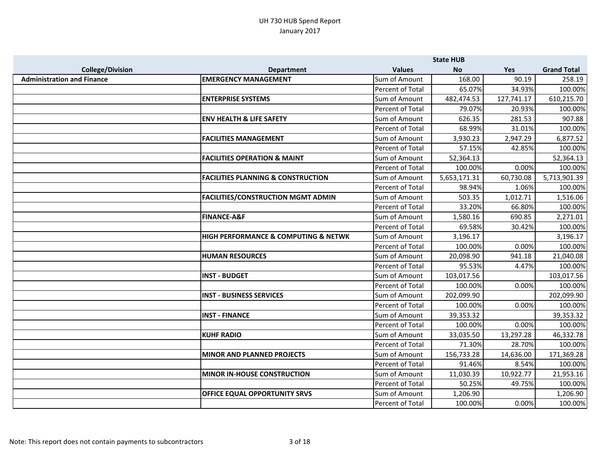|                                   |                                                     |                  | <b>State HUB</b> |            |                    |
|-----------------------------------|-----------------------------------------------------|------------------|------------------|------------|--------------------|
| <b>College/Division</b>           | <b>Department</b>                                   | <b>Values</b>    | <b>No</b>        | Yes        | <b>Grand Total</b> |
| <b>Administration and Finance</b> | <b>EMERGENCY MANAGEMENT</b>                         | Sum of Amount    | 168.00           | 90.19      | 258.19             |
|                                   |                                                     | Percent of Total | 65.07%           | 34.93%     | 100.00%            |
|                                   | <b>ENTERPRISE SYSTEMS</b>                           | Sum of Amount    | 482,474.53       | 127,741.17 | 610,215.70         |
|                                   |                                                     | Percent of Total | 79.07%           | 20.93%     | 100.00%            |
|                                   | <b>ENV HEALTH &amp; LIFE SAFETY</b>                 | Sum of Amount    | 626.35           | 281.53     | 907.88             |
|                                   |                                                     | Percent of Total | 68.99%           | 31.01%     | 100.00%            |
|                                   | <b>FACILITIES MANAGEMENT</b>                        | Sum of Amount    | 3,930.23         | 2,947.29   | 6,877.52           |
|                                   |                                                     | Percent of Total | 57.15%           | 42.85%     | 100.00%            |
|                                   | <b>FACILITIES OPERATION &amp; MAINT</b>             | Sum of Amount    | 52,364.13        |            | 52,364.13          |
|                                   |                                                     | Percent of Total | 100.00%          | 0.00%      | 100.00%            |
|                                   | <b>FACILITIES PLANNING &amp; CONSTRUCTION</b>       | Sum of Amount    | 5,653,171.31     | 60,730.08  | 5,713,901.39       |
|                                   |                                                     | Percent of Total | 98.94%           | 1.06%      | 100.00%            |
|                                   | <b>FACILITIES/CONSTRUCTION MGMT ADMIN</b>           | Sum of Amount    | 503.35           | 1,012.71   | 1,516.06           |
|                                   |                                                     | Percent of Total | 33.20%           | 66.80%     | 100.00%            |
|                                   | <b>FINANCE-A&amp;F</b>                              | Sum of Amount    | 1,580.16         | 690.85     | 2,271.01           |
|                                   |                                                     | Percent of Total | 69.58%           | 30.42%     | 100.00%            |
|                                   | <b>HIGH PERFORMANCE &amp; COMPUTING &amp; NETWK</b> | Sum of Amount    | 3,196.17         |            | 3,196.17           |
|                                   |                                                     | Percent of Total | 100.00%          | 0.00%      | 100.00%            |
|                                   | <b>HUMAN RESOURCES</b>                              | Sum of Amount    | 20,098.90        | 941.18     | 21,040.08          |
|                                   |                                                     | Percent of Total | 95.53%           | 4.47%      | 100.00%            |
|                                   | <b>INST - BUDGET</b>                                | Sum of Amount    | 103,017.56       |            | 103,017.56         |
|                                   |                                                     | Percent of Total | 100.00%          | 0.00%      | 100.00%            |
|                                   | <b>INST - BUSINESS SERVICES</b>                     | Sum of Amount    | 202,099.90       |            | 202,099.90         |
|                                   |                                                     | Percent of Total | 100.00%          | 0.00%      | 100.00%            |
|                                   | <b>INST - FINANCE</b>                               | Sum of Amount    | 39,353.32        |            | 39,353.32          |
|                                   |                                                     | Percent of Total | 100.00%          | 0.00%      | 100.00%            |
|                                   | <b>KUHF RADIO</b>                                   | Sum of Amount    | 33,035.50        | 13,297.28  | 46,332.78          |
|                                   |                                                     | Percent of Total | 71.30%           | 28.70%     | 100.00%            |
|                                   | <b>MINOR AND PLANNED PROJECTS</b>                   | Sum of Amount    | 156,733.28       | 14,636.00  | 171,369.28         |
|                                   |                                                     | Percent of Total | 91.46%           | 8.54%      | 100.00%            |
|                                   | <b>MINOR IN-HOUSE CONSTRUCTION</b>                  | Sum of Amount    | 11,030.39        | 10,922.77  | 21,953.16          |
|                                   |                                                     | Percent of Total | 50.25%           | 49.75%     | 100.00%            |
|                                   | <b>OFFICE EQUAL OPPORTUNITY SRVS</b>                | Sum of Amount    | 1,206.90         |            | 1,206.90           |
|                                   |                                                     | Percent of Total | 100.00%          | 0.00%      | 100.00%            |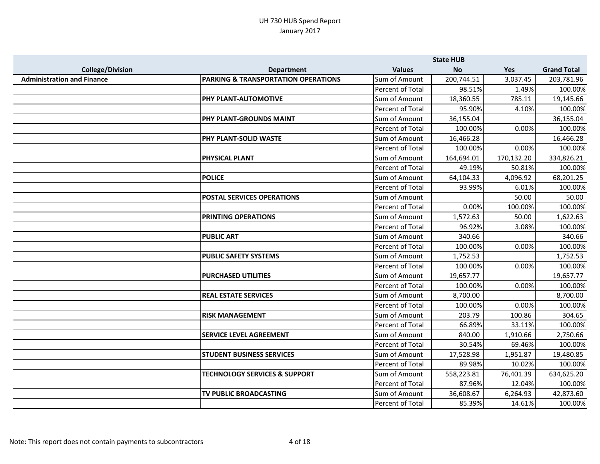|                                   |                                                |                         | <b>State HUB</b> |            |                    |
|-----------------------------------|------------------------------------------------|-------------------------|------------------|------------|--------------------|
| <b>College/Division</b>           | <b>Department</b>                              | <b>Values</b>           | <b>No</b>        | Yes        | <b>Grand Total</b> |
| <b>Administration and Finance</b> | <b>PARKING &amp; TRANSPORTATION OPERATIONS</b> | Sum of Amount           | 200,744.51       | 3,037.45   | 203,781.96         |
|                                   |                                                | Percent of Total        | 98.51%           | 1.49%      | 100.00%            |
|                                   | <b>PHY PLANT-AUTOMOTIVE</b>                    | Sum of Amount           | 18,360.55        | 785.11     | 19,145.66          |
|                                   |                                                | <b>Percent of Total</b> | 95.90%           | 4.10%      | 100.00%            |
|                                   | PHY PLANT-GROUNDS MAINT                        | Sum of Amount           | 36,155.04        |            | 36,155.04          |
|                                   |                                                | Percent of Total        | 100.00%          | 0.00%      | 100.00%            |
|                                   | <b>PHY PLANT-SOLID WASTE</b>                   | Sum of Amount           | 16,466.28        |            | 16,466.28          |
|                                   |                                                | Percent of Total        | 100.00%          | 0.00%      | 100.00%            |
|                                   | <b>PHYSICAL PLANT</b>                          | Sum of Amount           | 164,694.01       | 170,132.20 | 334,826.21         |
|                                   |                                                | Percent of Total        | 49.19%           | 50.81%     | 100.00%            |
|                                   | <b>POLICE</b>                                  | Sum of Amount           | 64,104.33        | 4,096.92   | 68,201.25          |
|                                   |                                                | <b>Percent of Total</b> | 93.99%           | 6.01%      | 100.00%            |
|                                   | <b>POSTAL SERVICES OPERATIONS</b>              | Sum of Amount           |                  | 50.00      | 50.00              |
|                                   |                                                | Percent of Total        | 0.00%            | 100.00%    | 100.00%            |
|                                   | <b>PRINTING OPERATIONS</b>                     | Sum of Amount           | 1,572.63         | 50.00      | 1,622.63           |
|                                   |                                                | Percent of Total        | 96.92%           | 3.08%      | 100.00%            |
|                                   | <b>PUBLIC ART</b>                              | Sum of Amount           | 340.66           |            | 340.66             |
|                                   |                                                | Percent of Total        | 100.00%          | 0.00%      | 100.00%            |
|                                   | <b>PUBLIC SAFETY SYSTEMS</b>                   | Sum of Amount           | 1,752.53         |            | 1,752.53           |
|                                   |                                                | Percent of Total        | 100.00%          | 0.00%      | 100.00%            |
|                                   | <b>PURCHASED UTILITIES</b>                     | Sum of Amount           | 19,657.77        |            | 19,657.77          |
|                                   |                                                | Percent of Total        | 100.00%          | 0.00%      | 100.00%            |
|                                   | <b>REAL ESTATE SERVICES</b>                    | Sum of Amount           | 8,700.00         |            | 8,700.00           |
|                                   |                                                | Percent of Total        | 100.00%          | 0.00%      | 100.00%            |
|                                   | <b>RISK MANAGEMENT</b>                         | Sum of Amount           | 203.79           | 100.86     | 304.65             |
|                                   |                                                | Percent of Total        | 66.89%           | 33.11%     | 100.00%            |
|                                   | <b>SERVICE LEVEL AGREEMENT</b>                 | Sum of Amount           | 840.00           | 1,910.66   | 2,750.66           |
|                                   |                                                | Percent of Total        | 30.54%           | 69.46%     | 100.00%            |
|                                   | <b>STUDENT BUSINESS SERVICES</b>               | Sum of Amount           | 17,528.98        | 1,951.87   | 19,480.85          |
|                                   |                                                | Percent of Total        | 89.98%           | 10.02%     | 100.00%            |
|                                   | <b>TECHNOLOGY SERVICES &amp; SUPPORT</b>       | Sum of Amount           | 558,223.81       | 76,401.39  | 634,625.20         |
|                                   |                                                | Percent of Total        | 87.96%           | 12.04%     | 100.00%            |
|                                   | TV PUBLIC BROADCASTING                         | Sum of Amount           | 36,608.67        | 6,264.93   | 42,873.60          |
|                                   |                                                | Percent of Total        | 85.39%           | 14.61%     | 100.00%            |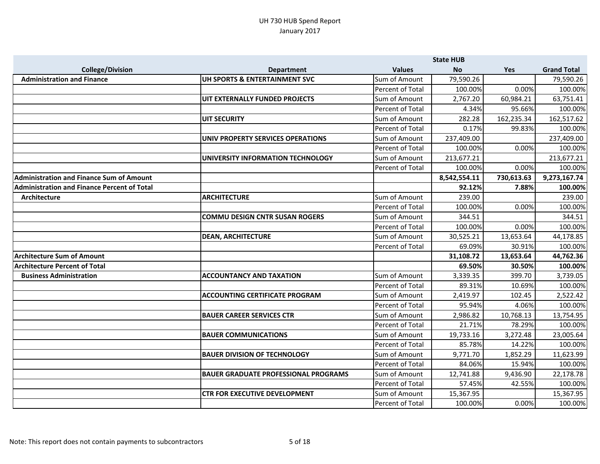|                                                    |                                             |                         | <b>State HUB</b> |            |                    |
|----------------------------------------------------|---------------------------------------------|-------------------------|------------------|------------|--------------------|
| <b>College/Division</b>                            | <b>Department</b>                           | <b>Values</b>           | <b>No</b>        | Yes        | <b>Grand Total</b> |
| <b>Administration and Finance</b>                  | UH SPORTS & ENTERTAINMENT SVC               | Sum of Amount           | 79,590.26        |            | 79,590.26          |
|                                                    |                                             | Percent of Total        | 100.00%          | 0.00%      | 100.00%            |
|                                                    | UIT EXTERNALLY FUNDED PROJECTS              | Sum of Amount           | 2,767.20         | 60,984.21  | 63,751.41          |
|                                                    |                                             | Percent of Total        | 4.34%            | 95.66%     | 100.00%            |
|                                                    | <b>UIT SECURITY</b>                         | Sum of Amount           | 282.28           | 162,235.34 | 162,517.62         |
|                                                    |                                             | Percent of Total        | 0.17%            | 99.83%     | 100.00%            |
|                                                    | UNIV PROPERTY SERVICES OPERATIONS           | Sum of Amount           | 237,409.00       |            | 237,409.00         |
|                                                    |                                             | Percent of Total        | 100.00%          | 0.00%      | 100.00%            |
|                                                    | UNIVERSITY INFORMATION TECHNOLOGY           | Sum of Amount           | 213,677.21       |            | 213,677.21         |
|                                                    |                                             | Percent of Total        | 100.00%          | 0.00%      | 100.00%            |
| <b>Administration and Finance Sum of Amount</b>    |                                             |                         | 8,542,554.11     | 730,613.63 | 9,273,167.74       |
| <b>Administration and Finance Percent of Total</b> |                                             |                         | 92.12%           | 7.88%      | 100.00%            |
| Architecture                                       | <b>ARCHITECTURE</b>                         | Sum of Amount           | 239.00           |            | 239.00             |
|                                                    |                                             | Percent of Total        | 100.00%          | 0.00%      | 100.00%            |
|                                                    | <b>COMMU DESIGN CNTR SUSAN ROGERS</b>       | Sum of Amount           | 344.51           |            | 344.51             |
|                                                    |                                             | Percent of Total        | 100.00%          | 0.00%      | 100.00%            |
|                                                    | <b>DEAN, ARCHITECTURE</b>                   | Sum of Amount           | 30,525.21        | 13,653.64  | 44,178.85          |
|                                                    |                                             | Percent of Total        | 69.09%           | 30.91%     | 100.00%            |
| <b>Architecture Sum of Amount</b>                  |                                             |                         | 31,108.72        | 13,653.64  | 44,762.36          |
| <b>Architecture Percent of Total</b>               |                                             |                         | 69.50%           | 30.50%     | 100.00%            |
| <b>Business Administration</b>                     | <b>ACCOUNTANCY AND TAXATION</b>             | Sum of Amount           | 3,339.35         | 399.70     | 3,739.05           |
|                                                    |                                             | <b>Percent of Total</b> | 89.31%           | 10.69%     | 100.00%            |
|                                                    | <b>ACCOUNTING CERTIFICATE PROGRAM</b>       | Sum of Amount           | 2,419.97         | 102.45     | 2,522.42           |
|                                                    |                                             | Percent of Total        | 95.94%           | 4.06%      | 100.00%            |
|                                                    | <b>BAUER CAREER SERVICES CTR</b>            | Sum of Amount           | 2,986.82         | 10,768.13  | 13,754.95          |
|                                                    |                                             | Percent of Total        | 21.71%           | 78.29%     | 100.00%            |
|                                                    | <b>BAUER COMMUNICATIONS</b>                 | Sum of Amount           | 19,733.16        | 3,272.48   | 23,005.64          |
|                                                    |                                             | Percent of Total        | 85.78%           | 14.22%     | 100.00%            |
|                                                    | <b>BAUER DIVISION OF TECHNOLOGY</b>         | Sum of Amount           | 9,771.70         | 1,852.29   | 11,623.99          |
|                                                    |                                             | Percent of Total        | 84.06%           | 15.94%     | 100.00%            |
|                                                    | <b>BAUER GRADUATE PROFESSIONAL PROGRAMS</b> | Sum of Amount           | 12,741.88        | 9,436.90   | 22,178.78          |
|                                                    |                                             | Percent of Total        | 57.45%           | 42.55%     | 100.00%            |
|                                                    | <b>CTR FOR EXECUTIVE DEVELOPMENT</b>        | Sum of Amount           | 15,367.95        |            | 15,367.95          |
|                                                    |                                             | Percent of Total        | 100.00%          | 0.00%      | 100.00%            |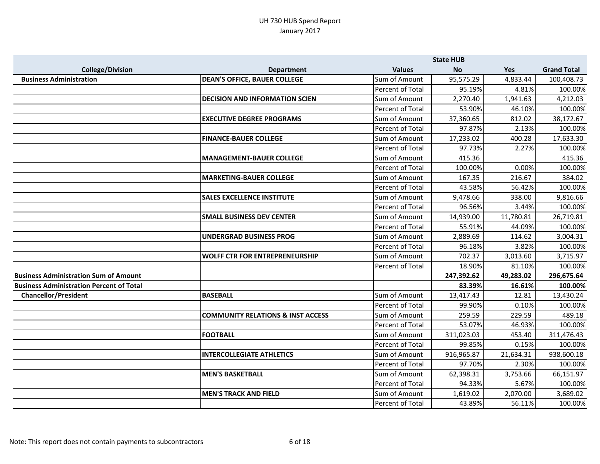|                                                 |                                              |                  | <b>State HUB</b> |           |                    |
|-------------------------------------------------|----------------------------------------------|------------------|------------------|-----------|--------------------|
| <b>College/Division</b>                         | <b>Department</b>                            | <b>Values</b>    | <b>No</b>        | Yes       | <b>Grand Total</b> |
| <b>Business Administration</b>                  | <b>DEAN'S OFFICE, BAUER COLLEGE</b>          | Sum of Amount    | 95,575.29        | 4,833.44  | 100,408.73         |
|                                                 |                                              | Percent of Total | 95.19%           | 4.81%     | 100.00%            |
|                                                 | <b>DECISION AND INFORMATION SCIEN</b>        | Sum of Amount    | 2,270.40         | 1,941.63  | 4,212.03           |
|                                                 |                                              | Percent of Total | 53.90%           | 46.10%    | 100.00%            |
|                                                 | <b>EXECUTIVE DEGREE PROGRAMS</b>             | Sum of Amount    | 37,360.65        | 812.02    | 38,172.67          |
|                                                 |                                              | Percent of Total | 97.87%           | 2.13%     | 100.00%            |
|                                                 | <b>FINANCE-BAUER COLLEGE</b>                 | Sum of Amount    | 17,233.02        | 400.28    | 17,633.30          |
|                                                 |                                              | Percent of Total | 97.73%           | 2.27%     | 100.00%            |
|                                                 | MANAGEMENT-BAUER COLLEGE                     | Sum of Amount    | 415.36           |           | 415.36             |
|                                                 |                                              | Percent of Total | 100.00%          | 0.00%     | 100.00%            |
|                                                 | <b>MARKETING-BAUER COLLEGE</b>               | Sum of Amount    | 167.35           | 216.67    | 384.02             |
|                                                 |                                              | Percent of Total | 43.58%           | 56.42%    | 100.00%            |
|                                                 | <b>SALES EXCELLENCE INSTITUTE</b>            | Sum of Amount    | 9,478.66         | 338.00    | 9,816.66           |
|                                                 |                                              | Percent of Total | 96.56%           | 3.44%     | 100.00%            |
|                                                 | <b>SMALL BUSINESS DEV CENTER</b>             | Sum of Amount    | 14,939.00        | 11,780.81 | 26,719.81          |
|                                                 |                                              | Percent of Total | 55.91%           | 44.09%    | 100.00%            |
|                                                 | <b>UNDERGRAD BUSINESS PROG</b>               | Sum of Amount    | 2,889.69         | 114.62    | 3,004.31           |
|                                                 |                                              | Percent of Total | 96.18%           | 3.82%     | 100.00%            |
|                                                 | <b>WOLFF CTR FOR ENTREPRENEURSHIP</b>        | Sum of Amount    | 702.37           | 3,013.60  | 3,715.97           |
|                                                 |                                              | Percent of Total | 18.90%           | 81.10%    | 100.00%            |
| <b>Business Administration Sum of Amount</b>    |                                              |                  | 247,392.62       | 49,283.02 | 296,675.64         |
| <b>Business Administration Percent of Total</b> |                                              |                  | 83.39%           | 16.61%    | 100.00%            |
| <b>Chancellor/President</b>                     | <b>BASEBALL</b>                              | Sum of Amount    | 13,417.43        | 12.81     | 13,430.24          |
|                                                 |                                              | Percent of Total | 99.90%           | 0.10%     | 100.00%            |
|                                                 | <b>COMMUNITY RELATIONS &amp; INST ACCESS</b> | Sum of Amount    | 259.59           | 229.59    | 489.18             |
|                                                 |                                              | Percent of Total | 53.07%           | 46.93%    | 100.00%            |
|                                                 | <b>FOOTBALL</b>                              | Sum of Amount    | 311,023.03       | 453.40    | 311,476.43         |
|                                                 |                                              | Percent of Total | 99.85%           | 0.15%     | 100.00%            |
|                                                 | <b>INTERCOLLEGIATE ATHLETICS</b>             | Sum of Amount    | 916,965.87       | 21,634.31 | 938,600.18         |
|                                                 |                                              | Percent of Total | 97.70%           | 2.30%     | 100.00%            |
|                                                 | <b>MEN'S BASKETBALL</b>                      | Sum of Amount    | 62,398.31        | 3,753.66  | 66,151.97          |
|                                                 |                                              | Percent of Total | 94.33%           | 5.67%     | 100.00%            |
|                                                 | <b>MEN'S TRACK AND FIELD</b>                 | Sum of Amount    | 1,619.02         | 2,070.00  | 3,689.02           |
|                                                 |                                              | Percent of Total | 43.89%           | 56.11%    | 100.00%            |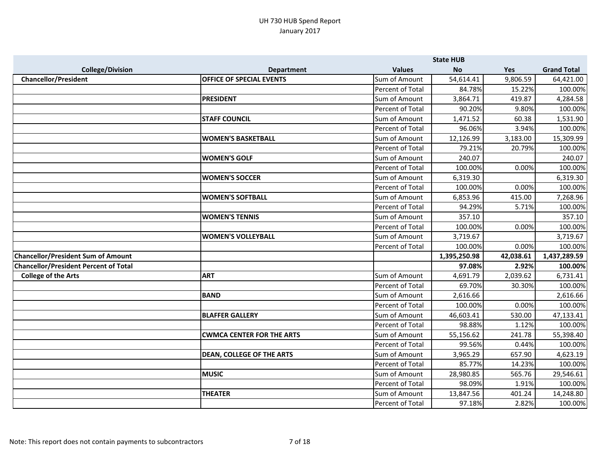|                                              |                                  |                         | <b>State HUB</b> |           |                    |
|----------------------------------------------|----------------------------------|-------------------------|------------------|-----------|--------------------|
| <b>College/Division</b>                      | <b>Department</b>                | <b>Values</b>           | <b>No</b>        | Yes       | <b>Grand Total</b> |
| <b>Chancellor/President</b>                  | <b>OFFICE OF SPECIAL EVENTS</b>  | Sum of Amount           | 54,614.41        | 9,806.59  | 64,421.00          |
|                                              |                                  | Percent of Total        | 84.78%           | 15.22%    | 100.00%            |
|                                              | <b>PRESIDENT</b>                 | Sum of Amount           | 3,864.71         | 419.87    | 4,284.58           |
|                                              |                                  | Percent of Total        | 90.20%           | 9.80%     | 100.00%            |
|                                              | <b>STAFF COUNCIL</b>             | Sum of Amount           | 1,471.52         | 60.38     | 1,531.90           |
|                                              |                                  | Percent of Total        | 96.06%           | 3.94%     | 100.00%            |
|                                              | <b>WOMEN'S BASKETBALL</b>        | Sum of Amount           | 12,126.99        | 3,183.00  | 15,309.99          |
|                                              |                                  | Percent of Total        | 79.21%           | 20.79%    | 100.00%            |
|                                              | <b>WOMEN'S GOLF</b>              | Sum of Amount           | 240.07           |           | 240.07             |
|                                              |                                  | Percent of Total        | 100.00%          | 0.00%     | 100.00%            |
|                                              | <b>WOMEN'S SOCCER</b>            | Sum of Amount           | 6,319.30         |           | 6,319.30           |
|                                              |                                  | <b>Percent of Total</b> | 100.00%          | 0.00%     | 100.00%            |
|                                              | <b>WOMEN'S SOFTBALL</b>          | Sum of Amount           | 6,853.96         | 415.00    | 7,268.96           |
|                                              |                                  | <b>Percent of Total</b> | 94.29%           | 5.71%     | 100.00%            |
|                                              | <b>WOMEN'S TENNIS</b>            | Sum of Amount           | 357.10           |           | 357.10             |
|                                              |                                  | Percent of Total        | 100.00%          | 0.00%     | 100.00%            |
|                                              | <b>WOMEN'S VOLLEYBALL</b>        | Sum of Amount           | 3,719.67         |           | 3,719.67           |
|                                              |                                  | Percent of Total        | 100.00%          | 0.00%     | 100.00%            |
| <b>Chancellor/President Sum of Amount</b>    |                                  |                         | 1,395,250.98     | 42,038.61 | 1,437,289.59       |
| <b>Chancellor/President Percent of Total</b> |                                  |                         | 97.08%           | 2.92%     | 100.00%            |
| <b>College of the Arts</b>                   | <b>ART</b>                       | Sum of Amount           | 4,691.79         | 2,039.62  | 6,731.41           |
|                                              |                                  | Percent of Total        | 69.70%           | 30.30%    | 100.00%            |
|                                              | <b>BAND</b>                      | Sum of Amount           | 2,616.66         |           | 2,616.66           |
|                                              |                                  | Percent of Total        | 100.00%          | 0.00%     | 100.00%            |
|                                              | <b>BLAFFER GALLERY</b>           | Sum of Amount           | 46,603.41        | 530.00    | 47,133.41          |
|                                              |                                  | Percent of Total        | 98.88%           | 1.12%     | 100.00%            |
|                                              | <b>CWMCA CENTER FOR THE ARTS</b> | Sum of Amount           | 55,156.62        | 241.78    | 55,398.40          |
|                                              |                                  | Percent of Total        | 99.56%           | 0.44%     | 100.00%            |
|                                              | <b>DEAN, COLLEGE OF THE ARTS</b> | Sum of Amount           | 3,965.29         | 657.90    | 4,623.19           |
|                                              |                                  | Percent of Total        | 85.77%           | 14.23%    | 100.00%            |
|                                              | <b>MUSIC</b>                     | Sum of Amount           | 28,980.85        | 565.76    | 29,546.61          |
|                                              |                                  | Percent of Total        | 98.09%           | 1.91%     | 100.00%            |
|                                              | <b>THEATER</b>                   | Sum of Amount           | 13,847.56        | 401.24    | 14,248.80          |
|                                              |                                  | Percent of Total        | 97.18%           | 2.82%     | 100.00%            |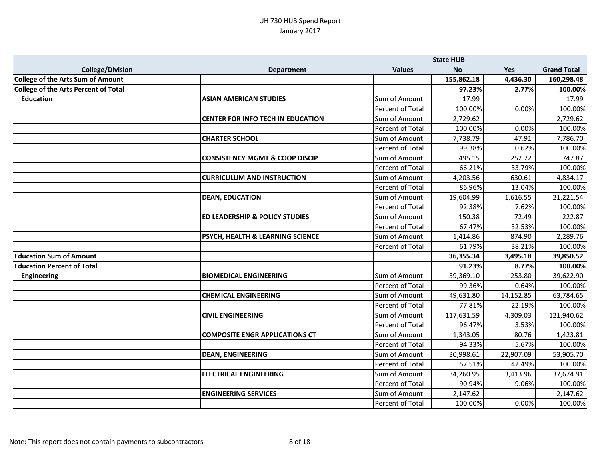|                                             |                                             |                  | <b>State HUB</b> |           |                    |
|---------------------------------------------|---------------------------------------------|------------------|------------------|-----------|--------------------|
| <b>College/Division</b>                     | <b>Department</b>                           | <b>Values</b>    | <b>No</b>        | Yes       | <b>Grand Total</b> |
| <b>College of the Arts Sum of Amount</b>    |                                             |                  | 155,862.18       | 4,436.30  | 160,298.48         |
| <b>College of the Arts Percent of Total</b> |                                             |                  | 97.23%           | 2.77%     | 100.00%            |
| <b>Education</b>                            | <b>ASIAN AMERICAN STUDIES</b>               | Sum of Amount    | 17.99            |           | 17.99              |
|                                             |                                             | Percent of Total | 100.00%          | 0.00%     | 100.00%            |
|                                             | <b>CENTER FOR INFO TECH IN EDUCATION</b>    | Sum of Amount    | 2,729.62         |           | 2,729.62           |
|                                             |                                             | Percent of Total | 100.00%          | 0.00%     | 100.00%            |
|                                             | <b>CHARTER SCHOOL</b>                       | Sum of Amount    | 7,738.79         | 47.91     | 7,786.70           |
|                                             |                                             | Percent of Total | 99.38%           | 0.62%     | 100.00%            |
|                                             | <b>CONSISTENCY MGMT &amp; COOP DISCIP</b>   | Sum of Amount    | 495.15           | 252.72    | 747.87             |
|                                             |                                             | Percent of Total | 66.21%           | 33.79%    | 100.00%            |
|                                             | <b>CURRICULUM AND INSTRUCTION</b>           | Sum of Amount    | 4,203.56         | 630.61    | 4,834.17           |
|                                             |                                             | Percent of Total | 86.96%           | 13.04%    | 100.00%            |
|                                             | <b>DEAN, EDUCATION</b>                      | Sum of Amount    | 19,604.99        | 1,616.55  | 21,221.54          |
|                                             |                                             | Percent of Total | 92.38%           | 7.62%     | 100.00%            |
|                                             | <b>ED LEADERSHIP &amp; POLICY STUDIES</b>   | Sum of Amount    | 150.38           | 72.49     | 222.87             |
|                                             |                                             | Percent of Total | 67.47%           | 32.53%    | 100.00%            |
|                                             | <b>PSYCH, HEALTH &amp; LEARNING SCIENCE</b> | Sum of Amount    | 1,414.86         | 874.90    | 2,289.76           |
|                                             |                                             | Percent of Total | 61.79%           | 38.21%    | 100.00%            |
| <b>Education Sum of Amount</b>              |                                             |                  | 36,355.34        | 3,495.18  | 39,850.52          |
| <b>Education Percent of Total</b>           |                                             |                  | 91.23%           | 8.77%     | 100.00%            |
| <b>Engineering</b>                          | <b>BIOMEDICAL ENGINEERING</b>               | Sum of Amount    | 39,369.10        | 253.80    | 39,622.90          |
|                                             |                                             | Percent of Total | 99.36%           | 0.64%     | 100.00%            |
|                                             | <b>CHEMICAL ENGINEERING</b>                 | Sum of Amount    | 49,631.80        | 14,152.85 | 63,784.65          |
|                                             |                                             | Percent of Total | 77.81%           | 22.19%    | 100.00%            |
|                                             | <b>CIVIL ENGINEERING</b>                    | Sum of Amount    | 117,631.59       | 4,309.03  | 121,940.62         |
|                                             |                                             | Percent of Total | 96.47%           | 3.53%     | 100.00%            |
|                                             | <b>COMPOSITE ENGR APPLICATIONS CT</b>       | Sum of Amount    | 1,343.05         | 80.76     | 1,423.81           |
|                                             |                                             | Percent of Total | 94.33%           | 5.67%     | 100.00%            |
|                                             | <b>DEAN, ENGINEERING</b>                    | Sum of Amount    | 30,998.61        | 22,907.09 | 53,905.70          |
|                                             |                                             | Percent of Total | 57.51%           | 42.49%    | 100.00%            |
|                                             | <b>ELECTRICAL ENGINEERING</b>               | Sum of Amount    | 34,260.95        | 3,413.96  | 37,674.91          |
|                                             |                                             | Percent of Total | 90.94%           | 9.06%     | 100.00%            |
|                                             | <b>ENGINEERING SERVICES</b>                 | Sum of Amount    | 2,147.62         |           | 2,147.62           |
|                                             |                                             | Percent of Total | 100.00%          | 0.00%     | 100.00%            |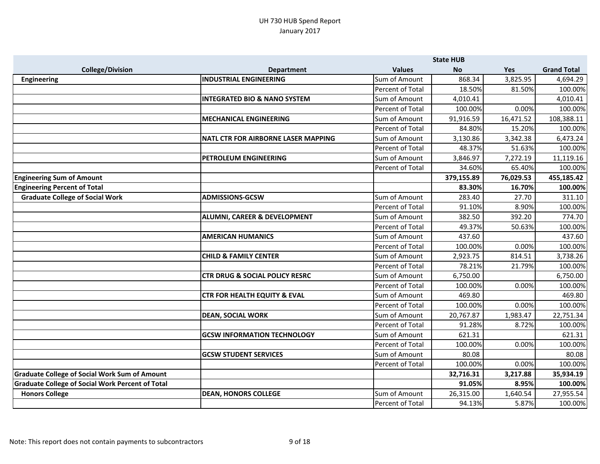|                                                         |                                            |                  | <b>State HUB</b> |            |                    |
|---------------------------------------------------------|--------------------------------------------|------------------|------------------|------------|--------------------|
| <b>College/Division</b>                                 | <b>Department</b>                          | <b>Values</b>    | <b>No</b>        | <b>Yes</b> | <b>Grand Total</b> |
| <b>Engineering</b>                                      | <b>INDUSTRIAL ENGINEERING</b>              | Sum of Amount    | 868.34           | 3,825.95   | 4,694.29           |
|                                                         |                                            | Percent of Total | 18.50%           | 81.50%     | 100.00%            |
|                                                         | <b>INTEGRATED BIO &amp; NANO SYSTEM</b>    | Sum of Amount    | 4,010.41         |            | 4,010.41           |
|                                                         |                                            | Percent of Total | 100.00%          | 0.00%      | 100.00%            |
|                                                         | <b>MECHANICAL ENGINEERING</b>              | Sum of Amount    | 91,916.59        | 16,471.52  | 108,388.11         |
|                                                         |                                            | Percent of Total | 84.80%           | 15.20%     | 100.00%            |
|                                                         | <b>NATL CTR FOR AIRBORNE LASER MAPPING</b> | Sum of Amount    | 3,130.86         | 3,342.38   | 6,473.24           |
|                                                         |                                            | Percent of Total | 48.37%           | 51.63%     | 100.00%            |
|                                                         | <b>PETROLEUM ENGINEERING</b>               | Sum of Amount    | 3,846.97         | 7,272.19   | 11,119.16          |
|                                                         |                                            | Percent of Total | 34.60%           | 65.40%     | 100.00%            |
| <b>Engineering Sum of Amount</b>                        |                                            |                  | 379,155.89       | 76,029.53  | 455,185.42         |
| <b>Engineering Percent of Total</b>                     |                                            |                  | 83.30%           | 16.70%     | 100.00%            |
| <b>Graduate College of Social Work</b>                  | <b>ADMISSIONS-GCSW</b>                     | Sum of Amount    | 283.40           | 27.70      | 311.10             |
|                                                         |                                            | Percent of Total | 91.10%           | 8.90%      | 100.00%            |
|                                                         | <b>ALUMNI, CAREER &amp; DEVELOPMENT</b>    | Sum of Amount    | 382.50           | 392.20     | 774.70             |
|                                                         |                                            | Percent of Total | 49.37%           | 50.63%     | 100.00%            |
|                                                         | <b>AMERICAN HUMANICS</b>                   | Sum of Amount    | 437.60           |            | 437.60             |
|                                                         |                                            | Percent of Total | 100.00%          | 0.00%      | 100.00%            |
|                                                         | <b>CHILD &amp; FAMILY CENTER</b>           | Sum of Amount    | 2,923.75         | 814.51     | 3,738.26           |
|                                                         |                                            | Percent of Total | 78.21%           | 21.79%     | 100.00%            |
|                                                         | <b>CTR DRUG &amp; SOCIAL POLICY RESRC</b>  | Sum of Amount    | 6,750.00         |            | 6,750.00           |
|                                                         |                                            | Percent of Total | 100.00%          | 0.00%      | 100.00%            |
|                                                         | <b>CTR FOR HEALTH EQUITY &amp; EVAL</b>    | Sum of Amount    | 469.80           |            | 469.80             |
|                                                         |                                            | Percent of Total | 100.00%          | 0.00%      | 100.00%            |
|                                                         | <b>DEAN, SOCIAL WORK</b>                   | Sum of Amount    | 20,767.87        | 1,983.47   | 22,751.34          |
|                                                         |                                            | Percent of Total | 91.28%           | 8.72%      | 100.00%            |
|                                                         | <b>GCSW INFORMATION TECHNOLOGY</b>         | Sum of Amount    | 621.31           |            | 621.31             |
|                                                         |                                            | Percent of Total | 100.00%          | 0.00%      | 100.00%            |
|                                                         | <b>GCSW STUDENT SERVICES</b>               | Sum of Amount    | 80.08            |            | 80.08              |
|                                                         |                                            | Percent of Total | 100.00%          | 0.00%      | 100.00%            |
| <b>Graduate College of Social Work Sum of Amount</b>    |                                            |                  | 32,716.31        | 3,217.88   | 35,934.19          |
| <b>Graduate College of Social Work Percent of Total</b> |                                            |                  | 91.05%           | 8.95%      | 100.00%            |
| <b>Honors College</b>                                   | <b>DEAN, HONORS COLLEGE</b>                | Sum of Amount    | 26,315.00        | 1,640.54   | 27,955.54          |
|                                                         |                                            | Percent of Total | 94.13%           | 5.87%      | 100.00%            |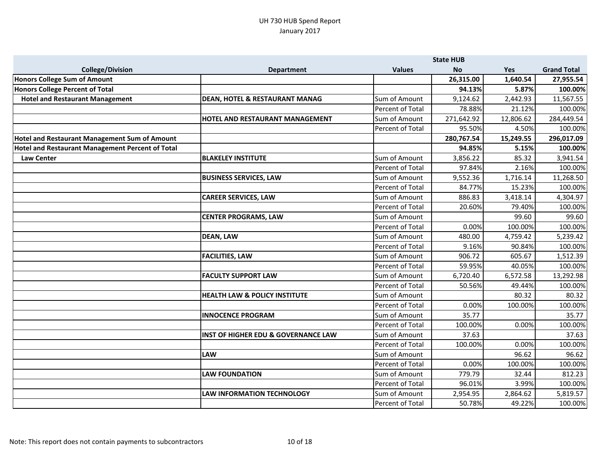|                                                         |                                                | <b>State HUB</b> |            |           |                    |
|---------------------------------------------------------|------------------------------------------------|------------------|------------|-----------|--------------------|
| <b>College/Division</b>                                 | <b>Department</b>                              | <b>Values</b>    | <b>No</b>  | Yes       | <b>Grand Total</b> |
| Honors College Sum of Amount                            |                                                |                  | 26,315.00  | 1,640.54  | 27,955.54          |
| Honors College Percent of Total                         |                                                |                  | 94.13%     | 5.87%     | 100.00%            |
| <b>Hotel and Restaurant Management</b>                  | <b>DEAN, HOTEL &amp; RESTAURANT MANAG</b>      | Sum of Amount    | 9,124.62   | 2,442.93  | 11,567.55          |
|                                                         |                                                | Percent of Total | 78.88%     | 21.12%    | 100.00%            |
|                                                         | HOTEL AND RESTAURANT MANAGEMENT                | Sum of Amount    | 271,642.92 | 12,806.62 | 284,449.54         |
|                                                         |                                                | Percent of Total | 95.50%     | 4.50%     | 100.00%            |
| <b>Hotel and Restaurant Management Sum of Amount</b>    |                                                |                  | 280,767.54 | 15,249.55 | 296,017.09         |
| <b>Hotel and Restaurant Management Percent of Total</b> |                                                |                  | 94.85%     | 5.15%     | 100.00%            |
| <b>Law Center</b>                                       | <b>BLAKELEY INSTITUTE</b>                      | Sum of Amount    | 3,856.22   | 85.32     | 3,941.54           |
|                                                         |                                                | Percent of Total | 97.84%     | 2.16%     | 100.00%            |
|                                                         | <b>BUSINESS SERVICES, LAW</b>                  | Sum of Amount    | 9,552.36   | 1,716.14  | 11,268.50          |
|                                                         |                                                | Percent of Total | 84.77%     | 15.23%    | 100.00%            |
|                                                         | <b>CAREER SERVICES, LAW</b>                    | Sum of Amount    | 886.83     | 3,418.14  | 4,304.97           |
|                                                         |                                                | Percent of Total | 20.60%     | 79.40%    | 100.00%            |
|                                                         | <b>CENTER PROGRAMS, LAW</b>                    | Sum of Amount    |            | 99.60     | 99.60              |
|                                                         |                                                | Percent of Total | 0.00%      | 100.00%   | 100.00%            |
|                                                         | <b>DEAN, LAW</b>                               | Sum of Amount    | 480.00     | 4,759.42  | 5,239.42           |
|                                                         |                                                | Percent of Total | 9.16%      | 90.84%    | 100.00%            |
|                                                         | <b>FACILITIES, LAW</b>                         | Sum of Amount    | 906.72     | 605.67    | 1,512.39           |
|                                                         |                                                | Percent of Total | 59.95%     | 40.05%    | 100.00%            |
|                                                         | <b>FACULTY SUPPORT LAW</b>                     | Sum of Amount    | 6,720.40   | 6,572.58  | 13,292.98          |
|                                                         |                                                | Percent of Total | 50.56%     | 49.44%    | 100.00%            |
|                                                         | <b>HEALTH LAW &amp; POLICY INSTITUTE</b>       | Sum of Amount    |            | 80.32     | 80.32              |
|                                                         |                                                | Percent of Total | 0.00%      | 100.00%   | 100.00%            |
|                                                         | <b>INNOCENCE PROGRAM</b>                       | Sum of Amount    | 35.77      |           | 35.77              |
|                                                         |                                                | Percent of Total | 100.00%    | 0.00%     | 100.00%            |
|                                                         | <b>INST OF HIGHER EDU &amp; GOVERNANCE LAW</b> | Sum of Amount    | 37.63      |           | 37.63              |
|                                                         |                                                | Percent of Total | 100.00%    | 0.00%     | 100.00%            |
|                                                         | <b>LAW</b>                                     | Sum of Amount    |            | 96.62     | 96.62              |
|                                                         |                                                | Percent of Total | 0.00%      | 100.00%   | 100.00%            |
|                                                         | <b>LAW FOUNDATION</b>                          | Sum of Amount    | 779.79     | 32.44     | 812.23             |
|                                                         |                                                | Percent of Total | 96.01%     | 3.99%     | 100.00%            |
|                                                         | <b>LAW INFORMATION TECHNOLOGY</b>              | Sum of Amount    | 2,954.95   | 2,864.62  | 5,819.57           |
|                                                         |                                                | Percent of Total | 50.78%     | 49.22%    | 100.00%            |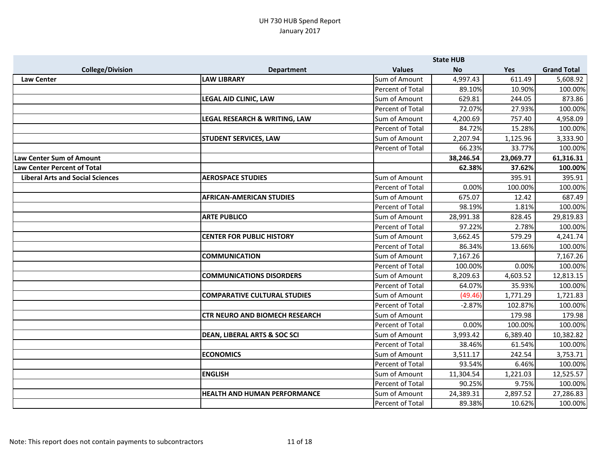|                                         |                                         |                         | <b>State HUB</b> |           |                    |
|-----------------------------------------|-----------------------------------------|-------------------------|------------------|-----------|--------------------|
| <b>College/Division</b>                 | <b>Department</b>                       | <b>Values</b>           | <b>No</b>        | Yes       | <b>Grand Total</b> |
| <b>Law Center</b>                       | <b>LAW LIBRARY</b>                      | Sum of Amount           | 4,997.43         | 611.49    | 5,608.92           |
|                                         |                                         | Percent of Total        | 89.10%           | 10.90%    | 100.00%            |
|                                         | <b>LEGAL AID CLINIC, LAW</b>            | Sum of Amount           | 629.81           | 244.05    | 873.86             |
|                                         |                                         | Percent of Total        | 72.07%           | 27.93%    | 100.00%            |
|                                         | LEGAL RESEARCH & WRITING, LAW           | Sum of Amount           | 4,200.69         | 757.40    | 4,958.09           |
|                                         |                                         | Percent of Total        | 84.72%           | 15.28%    | 100.00%            |
|                                         | <b>STUDENT SERVICES, LAW</b>            | Sum of Amount           | 2,207.94         | 1,125.96  | 3,333.90           |
|                                         |                                         | Percent of Total        | 66.23%           | 33.77%    | 100.00%            |
| <b>Law Center Sum of Amount</b>         |                                         |                         | 38,246.54        | 23,069.77 | 61,316.31          |
| <b>Law Center Percent of Total</b>      |                                         |                         | 62.38%           | 37.62%    | 100.00%            |
| <b>Liberal Arts and Social Sciences</b> | <b>AEROSPACE STUDIES</b>                | Sum of Amount           |                  | 395.91    | 395.91             |
|                                         |                                         | Percent of Total        | 0.00%            | 100.00%   | 100.00%            |
|                                         | <b>AFRICAN-AMERICAN STUDIES</b>         | Sum of Amount           | 675.07           | 12.42     | 687.49             |
|                                         |                                         | Percent of Total        | 98.19%           | 1.81%     | 100.00%            |
|                                         | <b>ARTE PUBLICO</b>                     | Sum of Amount           | 28,991.38        | 828.45    | 29,819.83          |
|                                         |                                         | <b>Percent of Total</b> | 97.22%           | 2.78%     | 100.00%            |
|                                         | <b>CENTER FOR PUBLIC HISTORY</b>        | Sum of Amount           | 3,662.45         | 579.29    | 4,241.74           |
|                                         |                                         | Percent of Total        | 86.34%           | 13.66%    | 100.00%            |
|                                         | <b>COMMUNICATION</b>                    | Sum of Amount           | 7,167.26         |           | 7,167.26           |
|                                         |                                         | Percent of Total        | 100.00%          | 0.00%     | 100.00%            |
|                                         | <b>COMMUNICATIONS DISORDERS</b>         | Sum of Amount           | 8,209.63         | 4,603.52  | 12,813.15          |
|                                         |                                         | Percent of Total        | 64.07%           | 35.93%    | 100.00%            |
|                                         | <b>COMPARATIVE CULTURAL STUDIES</b>     | Sum of Amount           | (49.46)          | 1,771.29  | 1,721.83           |
|                                         |                                         | Percent of Total        | $-2.87%$         | 102.87%   | 100.00%            |
|                                         | <b>CTR NEURO AND BIOMECH RESEARCH</b>   | Sum of Amount           |                  | 179.98    | 179.98             |
|                                         |                                         | Percent of Total        | 0.00%            | 100.00%   | 100.00%            |
|                                         | <b>DEAN, LIBERAL ARTS &amp; SOC SCI</b> | Sum of Amount           | 3,993.42         | 6,389.40  | 10,382.82          |
|                                         |                                         | Percent of Total        | 38.46%           | 61.54%    | 100.00%            |
|                                         | <b>ECONOMICS</b>                        | Sum of Amount           | 3,511.17         | 242.54    | 3,753.71           |
|                                         |                                         | <b>Percent of Total</b> | 93.54%           | 6.46%     | 100.00%            |
|                                         | <b>ENGLISH</b>                          | Sum of Amount           | 11,304.54        | 1,221.03  | 12,525.57          |
|                                         |                                         | Percent of Total        | 90.25%           | 9.75%     | 100.00%            |
|                                         | <b>HEALTH AND HUMAN PERFORMANCE</b>     | Sum of Amount           | 24,389.31        | 2,897.52  | 27,286.83          |
|                                         |                                         | Percent of Total        | 89.38%           | 10.62%    | 100.00%            |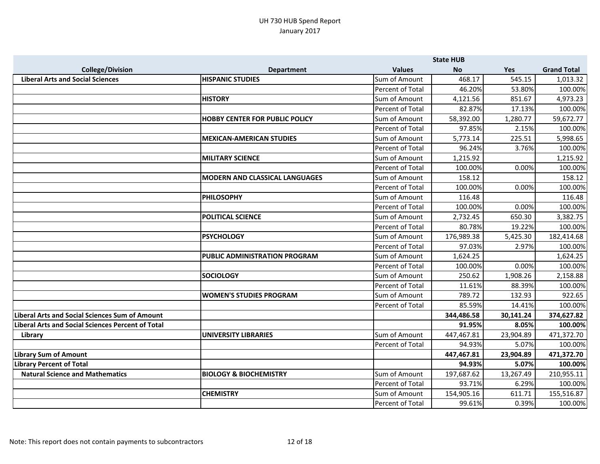|                                                          |                                       |                         | <b>State HUB</b> |           |                    |
|----------------------------------------------------------|---------------------------------------|-------------------------|------------------|-----------|--------------------|
| <b>College/Division</b>                                  | <b>Department</b>                     | <b>Values</b>           | <b>No</b>        | Yes       | <b>Grand Total</b> |
| <b>Liberal Arts and Social Sciences</b>                  | <b>HISPANIC STUDIES</b>               | Sum of Amount           | 468.17           | 545.15    | 1,013.32           |
|                                                          |                                       | Percent of Total        | 46.20%           | 53.80%    | 100.00%            |
|                                                          | <b>HISTORY</b>                        | Sum of Amount           | 4,121.56         | 851.67    | 4,973.23           |
|                                                          |                                       | Percent of Total        | 82.87%           | 17.13%    | 100.00%            |
|                                                          | <b>HOBBY CENTER FOR PUBLIC POLICY</b> | Sum of Amount           | 58,392.00        | 1,280.77  | 59,672.77          |
|                                                          |                                       | Percent of Total        | 97.85%           | 2.15%     | 100.00%            |
|                                                          | <b>MEXICAN-AMERICAN STUDIES</b>       | Sum of Amount           | 5,773.14         | 225.51    | 5,998.65           |
|                                                          |                                       | Percent of Total        | 96.24%           | 3.76%     | 100.00%            |
|                                                          | <b>MILITARY SCIENCE</b>               | Sum of Amount           | 1,215.92         |           | 1,215.92           |
|                                                          |                                       | Percent of Total        | 100.00%          | 0.00%     | 100.00%            |
|                                                          | <b>MODERN AND CLASSICAL LANGUAGES</b> | Sum of Amount           | 158.12           |           | 158.12             |
|                                                          |                                       | <b>Percent of Total</b> | 100.00%          | 0.00%     | 100.00%            |
|                                                          | <b>PHILOSOPHY</b>                     | Sum of Amount           | 116.48           |           | 116.48             |
|                                                          |                                       | <b>Percent of Total</b> | 100.00%          | 0.00%     | 100.00%            |
|                                                          | <b>POLITICAL SCIENCE</b>              | Sum of Amount           | 2,732.45         | 650.30    | 3,382.75           |
|                                                          |                                       | Percent of Total        | 80.78%           | 19.22%    | 100.00%            |
|                                                          | <b>PSYCHOLOGY</b>                     | Sum of Amount           | 176,989.38       | 5,425.30  | 182,414.68         |
|                                                          |                                       | Percent of Total        | 97.03%           | 2.97%     | 100.00%            |
|                                                          | PUBLIC ADMINISTRATION PROGRAM         | Sum of Amount           | 1,624.25         |           | 1,624.25           |
|                                                          |                                       | Percent of Total        | 100.00%          | 0.00%     | 100.00%            |
|                                                          | <b>SOCIOLOGY</b>                      | Sum of Amount           | 250.62           | 1,908.26  | 2,158.88           |
|                                                          |                                       | Percent of Total        | 11.61%           | 88.39%    | 100.00%            |
|                                                          | <b>WOMEN'S STUDIES PROGRAM</b>        | Sum of Amount           | 789.72           | 132.93    | 922.65             |
|                                                          |                                       | Percent of Total        | 85.59%           | 14.41%    | 100.00%            |
| <b>Liberal Arts and Social Sciences Sum of Amount</b>    |                                       |                         | 344,486.58       | 30,141.24 | 374,627.82         |
| <b>Liberal Arts and Social Sciences Percent of Total</b> |                                       |                         | 91.95%           | 8.05%     | 100.00%            |
| Library                                                  | <b>UNIVERSITY LIBRARIES</b>           | Sum of Amount           | 447,467.81       | 23,904.89 | 471,372.70         |
|                                                          |                                       | Percent of Total        | 94.93%           | 5.07%     | 100.00%            |
| <b>Library Sum of Amount</b>                             |                                       |                         | 447,467.81       | 23,904.89 | 471,372.70         |
| <b>Library Percent of Total</b>                          |                                       |                         | 94.93%           | 5.07%     | 100.00%            |
| <b>Natural Science and Mathematics</b>                   | <b>BIOLOGY &amp; BIOCHEMISTRY</b>     | Sum of Amount           | 197,687.62       | 13,267.49 | 210,955.11         |
|                                                          |                                       | Percent of Total        | 93.71%           | 6.29%     | 100.00%            |
|                                                          | <b>CHEMISTRY</b>                      | Sum of Amount           | 154,905.16       | 611.71    | 155,516.87         |
|                                                          |                                       | Percent of Total        | 99.61%           | 0.39%     | 100.00%            |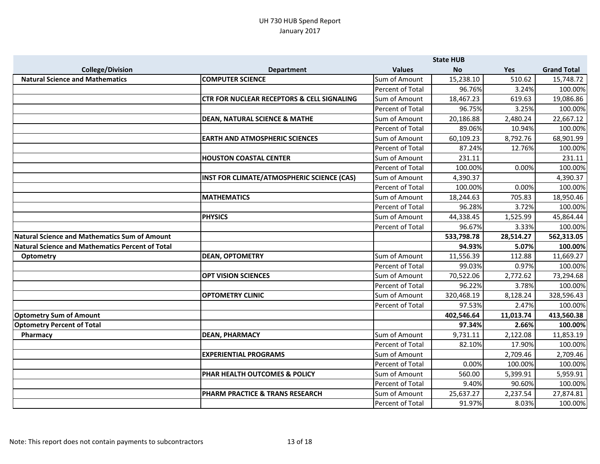|                                                         |                                                       | <b>State HUB</b> |            |           |                    |
|---------------------------------------------------------|-------------------------------------------------------|------------------|------------|-----------|--------------------|
| <b>College/Division</b>                                 | <b>Department</b>                                     | <b>Values</b>    | <b>No</b>  | Yes       | <b>Grand Total</b> |
| <b>Natural Science and Mathematics</b>                  | <b>COMPUTER SCIENCE</b>                               | Sum of Amount    | 15,238.10  | 510.62    | 15,748.72          |
|                                                         |                                                       | Percent of Total | 96.76%     | 3.24%     | 100.00%            |
|                                                         | <b>CTR FOR NUCLEAR RECEPTORS &amp; CELL SIGNALING</b> | Sum of Amount    | 18,467.23  | 619.63    | 19,086.86          |
|                                                         |                                                       | Percent of Total | 96.75%     | 3.25%     | 100.00%            |
|                                                         | <b>DEAN, NATURAL SCIENCE &amp; MATHE</b>              | Sum of Amount    | 20,186.88  | 2,480.24  | 22,667.12          |
|                                                         |                                                       | Percent of Total | 89.06%     | 10.94%    | 100.00%            |
|                                                         | <b>EARTH AND ATMOSPHERIC SCIENCES</b>                 | Sum of Amount    | 60,109.23  | 8,792.76  | 68,901.99          |
|                                                         |                                                       | Percent of Total | 87.24%     | 12.76%    | 100.00%            |
|                                                         | <b>HOUSTON COASTAL CENTER</b>                         | Sum of Amount    | 231.11     |           | 231.11             |
|                                                         |                                                       | Percent of Total | 100.00%    | 0.00%     | 100.00%            |
|                                                         | INST FOR CLIMATE/ATMOSPHERIC SCIENCE (CAS)            | Sum of Amount    | 4,390.37   |           | 4,390.37           |
|                                                         |                                                       | Percent of Total | 100.00%    | 0.00%     | 100.00%            |
|                                                         | <b>MATHEMATICS</b>                                    | Sum of Amount    | 18,244.63  | 705.83    | 18,950.46          |
|                                                         |                                                       | Percent of Total | 96.28%     | 3.72%     | 100.00%            |
|                                                         | <b>PHYSICS</b>                                        | Sum of Amount    | 44,338.45  | 1,525.99  | 45,864.44          |
|                                                         |                                                       | Percent of Total | 96.67%     | 3.33%     | 100.00%            |
| <b>Natural Science and Mathematics Sum of Amount</b>    |                                                       |                  | 533,798.78 | 28,514.27 | 562,313.05         |
| <b>Natural Science and Mathematics Percent of Total</b> |                                                       |                  | 94.93%     | 5.07%     | 100.00%            |
| <b>Optometry</b>                                        | <b>DEAN, OPTOMETRY</b>                                | Sum of Amount    | 11,556.39  | 112.88    | 11,669.27          |
|                                                         |                                                       | Percent of Total | 99.03%     | 0.97%     | 100.00%            |
|                                                         | <b>OPT VISION SCIENCES</b>                            | Sum of Amount    | 70,522.06  | 2,772.62  | 73,294.68          |
|                                                         |                                                       | Percent of Total | 96.22%     | 3.78%     | 100.00%            |
|                                                         | <b>OPTOMETRY CLINIC</b>                               | Sum of Amount    | 320,468.19 | 8,128.24  | 328,596.43         |
|                                                         |                                                       | Percent of Total | 97.53%     | 2.47%     | 100.00%            |
| <b>Optometry Sum of Amount</b>                          |                                                       |                  | 402,546.64 | 11,013.74 | 413,560.38         |
| <b>Optometry Percent of Total</b>                       |                                                       |                  | 97.34%     | 2.66%     | 100.00%            |
| Pharmacy                                                | <b>DEAN, PHARMACY</b>                                 | Sum of Amount    | 9,731.11   | 2,122.08  | 11,853.19          |
|                                                         |                                                       | Percent of Total | 82.10%     | 17.90%    | 100.00%            |
|                                                         | <b>EXPERIENTIAL PROGRAMS</b>                          | Sum of Amount    |            | 2,709.46  | 2,709.46           |
|                                                         |                                                       | Percent of Total | 0.00%      | 100.00%   | 100.00%            |
|                                                         | <b>PHAR HEALTH OUTCOMES &amp; POLICY</b>              | Sum of Amount    | 560.00     | 5,399.91  | 5,959.91           |
|                                                         |                                                       | Percent of Total | 9.40%      | 90.60%    | 100.00%            |
|                                                         | <b>PHARM PRACTICE &amp; TRANS RESEARCH</b>            | Sum of Amount    | 25,637.27  | 2,237.54  | 27,874.81          |
|                                                         |                                                       | Percent of Total | 91.97%     | 8.03%     | 100.00%            |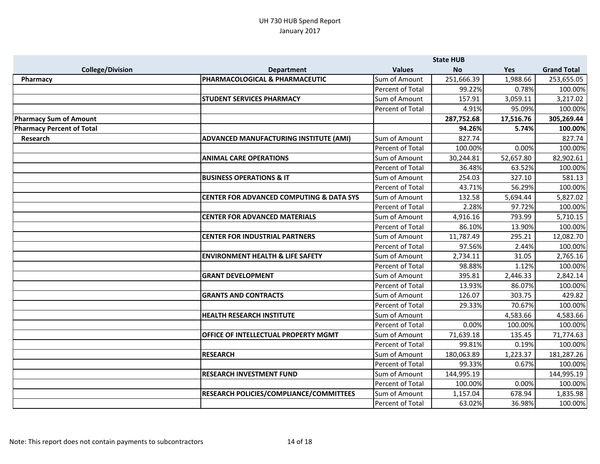|                                  |                                                     | <b>State HUB</b>        |            |           |                    |
|----------------------------------|-----------------------------------------------------|-------------------------|------------|-----------|--------------------|
| <b>College/Division</b>          | <b>Department</b>                                   | <b>Values</b>           | <b>No</b>  | Yes       | <b>Grand Total</b> |
| Pharmacy                         | PHARMACOLOGICAL & PHARMACEUTIC                      | Sum of Amount           | 251,666.39 | 1,988.66  | 253,655.05         |
|                                  |                                                     | Percent of Total        | 99.22%     | 0.78%     | 100.00%            |
|                                  | <b>STUDENT SERVICES PHARMACY</b>                    | Sum of Amount           | 157.91     | 3,059.11  | 3,217.02           |
|                                  |                                                     | Percent of Total        | 4.91%      | 95.09%    | 100.00%            |
| <b>Pharmacy Sum of Amount</b>    |                                                     |                         | 287,752.68 | 17,516.76 | 305,269.44         |
| <b>Pharmacy Percent of Total</b> |                                                     |                         | 94.26%     | 5.74%     | 100.00%            |
| Research                         | ADVANCED MANUFACTURING INSTITUTE (AMI)              | Sum of Amount           | 827.74     |           | 827.74             |
|                                  |                                                     | <b>Percent of Total</b> | 100.00%    | 0.00%     | 100.00%            |
|                                  | <b>ANIMAL CARE OPERATIONS</b>                       | Sum of Amount           | 30,244.81  | 52,657.80 | 82,902.61          |
|                                  |                                                     | Percent of Total        | 36.48%     | 63.52%    | 100.00%            |
|                                  | <b>BUSINESS OPERATIONS &amp; IT</b>                 | Sum of Amount           | 254.03     | 327.10    | 581.13             |
|                                  |                                                     | Percent of Total        | 43.71%     | 56.29%    | 100.00%            |
|                                  | <b>CENTER FOR ADVANCED COMPUTING &amp; DATA SYS</b> | Sum of Amount           | 132.58     | 5,694.44  | 5,827.02           |
|                                  |                                                     | Percent of Total        | 2.28%      | 97.72%    | 100.00%            |
|                                  | <b>CENTER FOR ADVANCED MATERIALS</b>                | Sum of Amount           | 4,916.16   | 793.99    | 5,710.15           |
|                                  |                                                     | <b>Percent of Total</b> | 86.10%     | 13.90%    | 100.00%            |
|                                  | <b>CENTER FOR INDUSTRIAL PARTNERS</b>               | Sum of Amount           | 11,787.49  | 295.21    | 12,082.70          |
|                                  |                                                     | Percent of Total        | 97.56%     | 2.44%     | 100.00%            |
|                                  | <b>ENVIRONMENT HEALTH &amp; LIFE SAFETY</b>         | Sum of Amount           | 2,734.11   | 31.05     | 2,765.16           |
|                                  |                                                     | Percent of Total        | 98.88%     | 1.12%     | 100.00%            |
|                                  | <b>GRANT DEVELOPMENT</b>                            | Sum of Amount           | 395.81     | 2,446.33  | 2,842.14           |
|                                  |                                                     | Percent of Total        | 13.93%     | 86.07%    | 100.00%            |
|                                  | <b>GRANTS AND CONTRACTS</b>                         | Sum of Amount           | 126.07     | 303.75    | 429.82             |
|                                  |                                                     | <b>Percent of Total</b> | 29.33%     | 70.67%    | 100.00%            |
|                                  | <b>HEALTH RESEARCH INSTITUTE</b>                    | Sum of Amount           |            | 4,583.66  | 4,583.66           |
|                                  |                                                     | Percent of Total        | 0.00%      | 100.00%   | 100.00%            |
|                                  | OFFICE OF INTELLECTUAL PROPERTY MGMT                | Sum of Amount           | 71,639.18  | 135.45    | 71,774.63          |
|                                  |                                                     | Percent of Total        | 99.81%     | 0.19%     | 100.00%            |
|                                  | <b>RESEARCH</b>                                     | Sum of Amount           | 180,063.89 | 1,223.37  | 181,287.26         |
|                                  |                                                     | <b>Percent of Total</b> | 99.33%     | 0.67%     | 100.00%            |
|                                  | <b>RESEARCH INVESTMENT FUND</b>                     | Sum of Amount           | 144,995.19 |           | 144,995.19         |
|                                  |                                                     | Percent of Total        | 100.00%    | 0.00%     | 100.00%            |
|                                  | RESEARCH POLICIES/COMPLIANCE/COMMITTEES             | Sum of Amount           | 1,157.04   | 678.94    | 1,835.98           |
|                                  |                                                     | Percent of Total        | 63.02%     | 36.98%    | 100.00%            |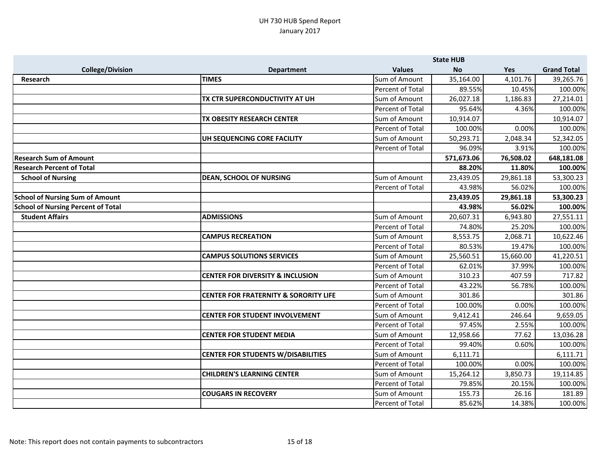|                                           |                                                  | <b>State HUB</b>        |            |           |                    |
|-------------------------------------------|--------------------------------------------------|-------------------------|------------|-----------|--------------------|
| <b>College/Division</b>                   | <b>Department</b>                                | <b>Values</b>           | <b>No</b>  | Yes       | <b>Grand Total</b> |
| <b>Research</b>                           | <b>TIMES</b>                                     | Sum of Amount           | 35,164.00  | 4,101.76  | 39,265.76          |
|                                           |                                                  | Percent of Total        | 89.55%     | 10.45%    | 100.00%            |
|                                           | TX CTR SUPERCONDUCTIVITY AT UH                   | Sum of Amount           | 26,027.18  | 1,186.83  | 27,214.01          |
|                                           |                                                  | Percent of Total        | 95.64%     | 4.36%     | 100.00%            |
|                                           | TX OBESITY RESEARCH CENTER                       | Sum of Amount           | 10,914.07  |           | 10,914.07          |
|                                           |                                                  | Percent of Total        | 100.00%    | 0.00%     | 100.00%            |
|                                           | UH SEQUENCING CORE FACILITY                      | Sum of Amount           | 50,293.71  | 2,048.34  | 52,342.05          |
|                                           |                                                  | <b>Percent of Total</b> | 96.09%     | 3.91%     | 100.00%            |
| <b>Research Sum of Amount</b>             |                                                  |                         | 571,673.06 | 76,508.02 | 648,181.08         |
| <b>Research Percent of Total</b>          |                                                  |                         | 88.20%     | 11.80%    | 100.00%            |
| <b>School of Nursing</b>                  | <b>DEAN, SCHOOL OF NURSING</b>                   | Sum of Amount           | 23,439.05  | 29,861.18 | 53,300.23          |
|                                           |                                                  | Percent of Total        | 43.98%     | 56.02%    | 100.00%            |
| <b>School of Nursing Sum of Amount</b>    |                                                  |                         | 23,439.05  | 29,861.18 | 53,300.23          |
| <b>School of Nursing Percent of Total</b> |                                                  |                         | 43.98%     | 56.02%    | 100.00%            |
| <b>Student Affairs</b>                    | <b>ADMISSIONS</b>                                | Sum of Amount           | 20,607.31  | 6,943.80  | 27,551.11          |
|                                           |                                                  | Percent of Total        | 74.80%     | 25.20%    | 100.00%            |
|                                           | <b>CAMPUS RECREATION</b>                         | Sum of Amount           | 8,553.75   | 2,068.71  | 10,622.46          |
|                                           |                                                  | Percent of Total        | 80.53%     | 19.47%    | 100.00%            |
|                                           | <b>CAMPUS SOLUTIONS SERVICES</b>                 | Sum of Amount           | 25,560.51  | 15,660.00 | 41,220.51          |
|                                           |                                                  | Percent of Total        | 62.01%     | 37.99%    | 100.00%            |
|                                           | <b>CENTER FOR DIVERSITY &amp; INCLUSION</b>      | Sum of Amount           | 310.23     | 407.59    | 717.82             |
|                                           |                                                  | Percent of Total        | 43.22%     | 56.78%    | 100.00%            |
|                                           | <b>CENTER FOR FRATERNITY &amp; SORORITY LIFE</b> | Sum of Amount           | 301.86     |           | 301.86             |
|                                           |                                                  | Percent of Total        | 100.00%    | 0.00%     | 100.00%            |
|                                           | <b>CENTER FOR STUDENT INVOLVEMENT</b>            | Sum of Amount           | 9,412.41   | 246.64    | 9,659.05           |
|                                           |                                                  | Percent of Total        | 97.45%     | 2.55%     | 100.00%            |
|                                           | <b>CENTER FOR STUDENT MEDIA</b>                  | Sum of Amount           | 12,958.66  | 77.62     | 13,036.28          |
|                                           |                                                  | Percent of Total        | 99.40%     | 0.60%     | 100.00%            |
|                                           | <b>CENTER FOR STUDENTS W/DISABILITIES</b>        | Sum of Amount           | 6,111.71   |           | 6,111.71           |
|                                           |                                                  | Percent of Total        | 100.00%    | 0.00%     | 100.00%            |
|                                           | <b>CHILDREN'S LEARNING CENTER</b>                | Sum of Amount           | 15,264.12  | 3,850.73  | 19,114.85          |
|                                           |                                                  | Percent of Total        | 79.85%     | 20.15%    | 100.00%            |
|                                           | <b>COUGARS IN RECOVERY</b>                       | Sum of Amount           | 155.73     | 26.16     | 181.89             |
|                                           |                                                  | Percent of Total        | 85.62%     | 14.38%    | 100.00%            |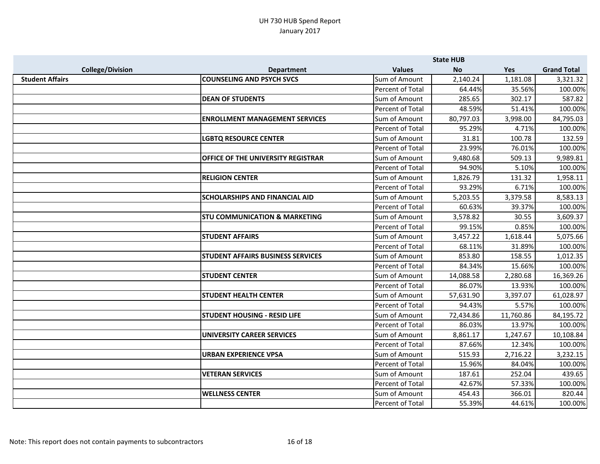|                         |                                           | <b>State HUB</b> |           |           |                    |
|-------------------------|-------------------------------------------|------------------|-----------|-----------|--------------------|
| <b>College/Division</b> | <b>Department</b>                         | <b>Values</b>    | <b>No</b> | Yes       | <b>Grand Total</b> |
| <b>Student Affairs</b>  | <b>COUNSELING AND PSYCH SVCS</b>          | Sum of Amount    | 2,140.24  | 1,181.08  | 3,321.32           |
|                         |                                           | Percent of Total | 64.44%    | 35.56%    | 100.00%            |
|                         | <b>DEAN OF STUDENTS</b>                   | Sum of Amount    | 285.65    | 302.17    | 587.82             |
|                         |                                           | Percent of Total | 48.59%    | 51.41%    | 100.00%            |
|                         | <b>ENROLLMENT MANAGEMENT SERVICES</b>     | Sum of Amount    | 80,797.03 | 3,998.00  | 84,795.03          |
|                         |                                           | Percent of Total | 95.29%    | 4.71%     | 100.00%            |
|                         | <b>LGBTQ RESOURCE CENTER</b>              | Sum of Amount    | 31.81     | 100.78    | 132.59             |
|                         |                                           | Percent of Total | 23.99%    | 76.01%    | 100.00%            |
|                         | <b>OFFICE OF THE UNIVERSITY REGISTRAR</b> | Sum of Amount    | 9,480.68  | 509.13    | 9,989.81           |
|                         |                                           | Percent of Total | 94.90%    | 5.10%     | 100.00%            |
|                         | <b>RELIGION CENTER</b>                    | Sum of Amount    | 1,826.79  | 131.32    | 1,958.11           |
|                         |                                           | Percent of Total | 93.29%    | 6.71%     | 100.00%            |
|                         | <b>SCHOLARSHIPS AND FINANCIAL AID</b>     | Sum of Amount    | 5,203.55  | 3,379.58  | 8,583.13           |
|                         |                                           | Percent of Total | 60.63%    | 39.37%    | 100.00%            |
|                         | <b>STU COMMUNICATION &amp; MARKETING</b>  | Sum of Amount    | 3,578.82  | 30.55     | 3,609.37           |
|                         |                                           | Percent of Total | 99.15%    | 0.85%     | 100.00%            |
|                         | <b>STUDENT AFFAIRS</b>                    | Sum of Amount    | 3,457.22  | 1,618.44  | 5,075.66           |
|                         |                                           | Percent of Total | 68.11%    | 31.89%    | 100.00%            |
|                         | <b>STUDENT AFFAIRS BUSINESS SERVICES</b>  | Sum of Amount    | 853.80    | 158.55    | 1,012.35           |
|                         |                                           | Percent of Total | 84.34%    | 15.66%    | 100.00%            |
|                         | <b>STUDENT CENTER</b>                     | Sum of Amount    | 14,088.58 | 2,280.68  | 16,369.26          |
|                         |                                           | Percent of Total | 86.07%    | 13.93%    | 100.00%            |
|                         | <b>STUDENT HEALTH CENTER</b>              | Sum of Amount    | 57,631.90 | 3,397.07  | 61,028.97          |
|                         |                                           | Percent of Total | 94.43%    | 5.57%     | 100.00%            |
|                         | <b>STUDENT HOUSING - RESID LIFE</b>       | Sum of Amount    | 72,434.86 | 11,760.86 | 84,195.72          |
|                         |                                           | Percent of Total | 86.03%    | 13.97%    | 100.00%            |
|                         | <b>UNIVERSITY CAREER SERVICES</b>         | Sum of Amount    | 8,861.17  | 1,247.67  | 10,108.84          |
|                         |                                           | Percent of Total | 87.66%    | 12.34%    | 100.00%            |
|                         | <b>URBAN EXPERIENCE VPSA</b>              | Sum of Amount    | 515.93    | 2,716.22  | 3,232.15           |
|                         |                                           | Percent of Total | 15.96%    | 84.04%    | 100.00%            |
|                         | <b>VETERAN SERVICES</b>                   | Sum of Amount    | 187.61    | 252.04    | 439.65             |
|                         |                                           | Percent of Total | 42.67%    | 57.33%    | 100.00%            |
|                         | <b>WELLNESS CENTER</b>                    | Sum of Amount    | 454.43    | 366.01    | 820.44             |
|                         |                                           | Percent of Total | 55.39%    | 44.61%    | 100.00%            |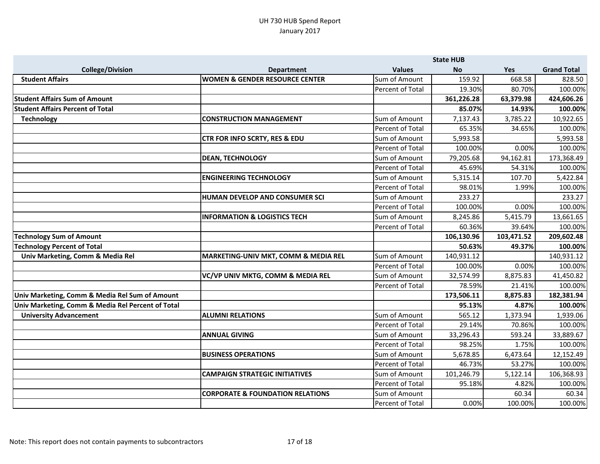|                                                   |                                             |                         | <b>State HUB</b> |            |                    |
|---------------------------------------------------|---------------------------------------------|-------------------------|------------------|------------|--------------------|
| <b>College/Division</b>                           | <b>Department</b>                           | <b>Values</b>           | <b>No</b>        | Yes        | <b>Grand Total</b> |
| <b>Student Affairs</b>                            | <b>WOMEN &amp; GENDER RESOURCE CENTER</b>   | Sum of Amount           | 159.92           | 668.58     | 828.50             |
|                                                   |                                             | Percent of Total        | 19.30%           | 80.70%     | 100.00%            |
| <b>Student Affairs Sum of Amount</b>              |                                             |                         | 361,226.28       | 63,379.98  | 424,606.26         |
| <b>Student Affairs Percent of Total</b>           |                                             |                         | 85.07%           | 14.93%     | 100.00%            |
| <b>Technology</b>                                 | <b>CONSTRUCTION MANAGEMENT</b>              | Sum of Amount           | 7,137.43         | 3,785.22   | 10,922.65          |
|                                                   |                                             | Percent of Total        | 65.35%           | 34.65%     | 100.00%            |
|                                                   | CTR FOR INFO SCRTY, RES & EDU               | Sum of Amount           | 5,993.58         |            | 5,993.58           |
|                                                   |                                             | Percent of Total        | 100.00%          | 0.00%      | 100.00%            |
|                                                   | <b>DEAN, TECHNOLOGY</b>                     | Sum of Amount           | 79,205.68        | 94,162.81  | 173,368.49         |
|                                                   |                                             | Percent of Total        | 45.69%           | 54.31%     | 100.00%            |
|                                                   | <b>ENGINEERING TECHNOLOGY</b>               | Sum of Amount           | 5,315.14         | 107.70     | 5,422.84           |
|                                                   |                                             | <b>Percent of Total</b> | 98.01%           | 1.99%      | 100.00%            |
|                                                   | HUMAN DEVELOP AND CONSUMER SCI              | Sum of Amount           | 233.27           |            | 233.27             |
|                                                   |                                             | Percent of Total        | 100.00%          | 0.00%      | 100.00%            |
|                                                   | <b>INFORMATION &amp; LOGISTICS TECH</b>     | Sum of Amount           | 8,245.86         | 5,415.79   | 13,661.65          |
|                                                   |                                             | Percent of Total        | 60.36%           | 39.64%     | 100.00%            |
|                                                   |                                             |                         |                  |            |                    |
| <b>Technology Sum of Amount</b>                   |                                             |                         | 106,130.96       | 103,471.52 | 209,602.48         |
| <b>Technology Percent of Total</b>                |                                             |                         | 50.63%           | 49.37%     | 100.00%            |
| Univ Marketing, Comm & Media Rel                  | MARKETING-UNIV MKT, COMM & MEDIA REL        | Sum of Amount           | 140,931.12       |            | 140,931.12         |
|                                                   |                                             | Percent of Total        | 100.00%          | 0.00%      | 100.00%            |
|                                                   | VC/VP UNIV MKTG, COMM & MEDIA REL           | Sum of Amount           | 32,574.99        | 8,875.83   | 41,450.82          |
|                                                   |                                             | Percent of Total        | 78.59%           | 21.41%     | 100.00%            |
| Univ Marketing, Comm & Media Rel Sum of Amount    |                                             |                         | 173,506.11       | 8,875.83   | 182,381.94         |
| Univ Marketing, Comm & Media Rel Percent of Total |                                             |                         | 95.13%           | 4.87%      | 100.00%            |
| <b>University Advancement</b>                     | <b>ALUMNI RELATIONS</b>                     | Sum of Amount           | 565.12           | 1,373.94   | 1,939.06           |
|                                                   |                                             | Percent of Total        | 29.14%           | 70.86%     | 100.00%            |
|                                                   | <b>ANNUAL GIVING</b>                        | Sum of Amount           | 33,296.43        | 593.24     | 33,889.67          |
|                                                   |                                             | <b>Percent of Total</b> | 98.25%           | 1.75%      | 100.00%            |
|                                                   | <b>BUSINESS OPERATIONS</b>                  | Sum of Amount           | 5,678.85         | 6,473.64   | 12,152.49          |
|                                                   |                                             | Percent of Total        | 46.73%           | 53.27%     | 100.00%            |
|                                                   | <b>CAMPAIGN STRATEGIC INITIATIVES</b>       | Sum of Amount           | 101,246.79       | 5,122.14   | 106,368.93         |
|                                                   |                                             | Percent of Total        | 95.18%           | 4.82%      | 100.00%            |
|                                                   | <b>CORPORATE &amp; FOUNDATION RELATIONS</b> | Sum of Amount           |                  | 60.34      | 60.34<br>100.00%   |